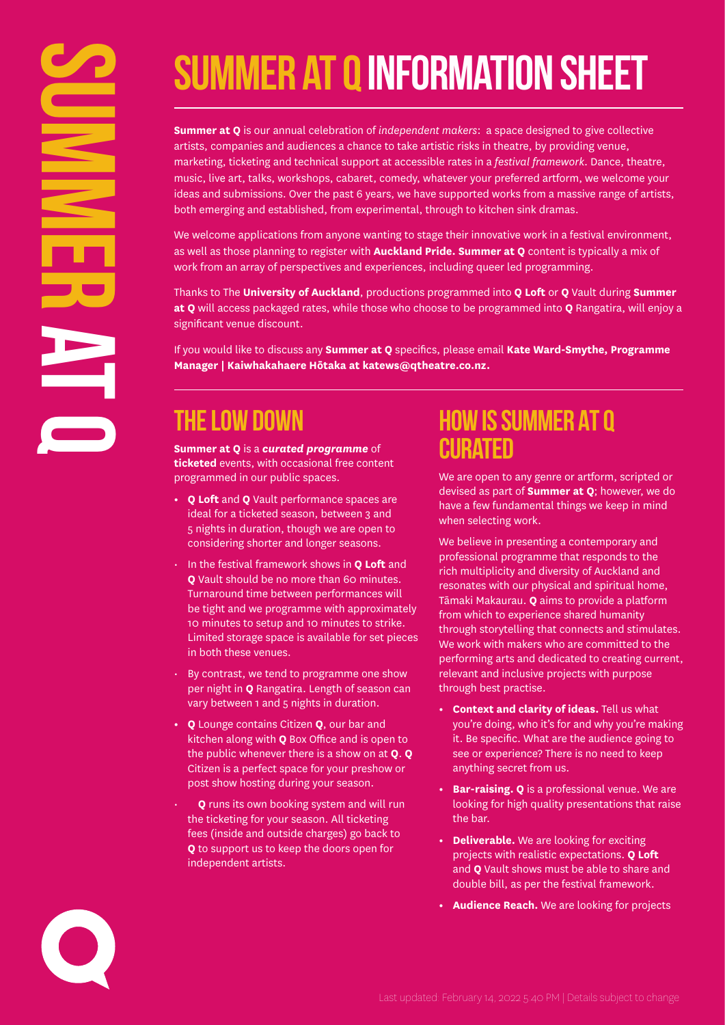# **Summer at Q Information Sheet**

**Summer at Q** is our annual celebration of *independent makers*: a space designed to give collective artists, companies and audiences a chance to take artistic risks in theatre, by providing venue, marketing, ticketing and technical support at accessible rates in a *festival framework*. Dance, theatre, music, live art, talks, workshops, cabaret, comedy, whatever your preferred artform, we welcome your ideas and submissions. Over the past 6 years, we have supported works from a massive range of artists, both emerging and established, from experimental, through to kitchen sink dramas.

We welcome applications from anyone wanting to stage their innovative work in a festival environment, as well as those planning to register with **Auckland Pride. Summer at Q** content is typically a mix of work from an array of perspectives and experiences, including queer led programming.

Thanks to The **University of Auckland**, productions programmed into **Q Loft** or **Q** Vault during **Summer at Q** will access packaged rates, while those who choose to be programmed into **Q** Rangatira, will enjoy a significant venue discount.

If you would like to discuss any **Summer at Q** specifics, please email **Kate Ward-Smythe, Programme Manager | Kaiwhakahaere Hōtaka at katews@qtheatre.co.nz.**

### **The Low Down**

**Summer at Q** is a *curated programme* of **ticketed** events, with occasional free content programmed in our public spaces.

- **• Q Loft** and **Q** Vault performance spaces are ideal for a ticketed season, between 3 and 5 nights in duration, though we are open to considering shorter and longer seasons.
- In the festival framework shows in **Q Loft** and **Q** Vault should be no more than 60 minutes. Turnaround time between performances will be tight and we programme with approximately 10 minutes to setup and 10 minutes to strike. Limited storage space is available for set pieces in both these venues.
- By contrast, we tend to programme one show per night in **Q** Rangatira. Length of season can vary between 1 and 5 nights in duration.
- **• Q** Lounge contains Citizen **Q**, our bar and kitchen along with **Q** Box Office and is open to the public whenever there is a show on at **Q**. **Q** Citizen is a perfect space for your preshow or post show hosting during your season.
- **Q** runs its own booking system and will run the ticketing for your season. All ticketing fees (inside and outside charges) go back to **Q** to support us to keep the doors open for independent artists.

### **How is Summer AT Q Curated**

We are open to any genre or artform, scripted or devised as part of **Summer at Q**; however, we do have a few fundamental things we keep in mind when selecting work.

We believe in presenting a contemporary and professional programme that responds to the rich multiplicity and diversity of Auckland and resonates with our physical and spiritual home, Tāmaki Makaurau. **Q** aims to provide a platform from which to experience shared humanity through storytelling that connects and stimulates. We work with makers who are committed to the performing arts and dedicated to creating current, relevant and inclusive projects with purpose through best practise.

- **• Context and clarity of ideas.** Tell us what you're doing, who it's for and why you're making it. Be specific. What are the audience going to see or experience? There is no need to keep anything secret from us.
- **• Bar-raising. Q** is a professional venue. We are looking for high quality presentations that raise the bar.
- **• Deliverable.** We are looking for exciting projects with realistic expectations. **Q Loft** and **Q** Vault shows must be able to share and double bill, as per the festival framework.
- **• Audience Reach.** We are looking for projects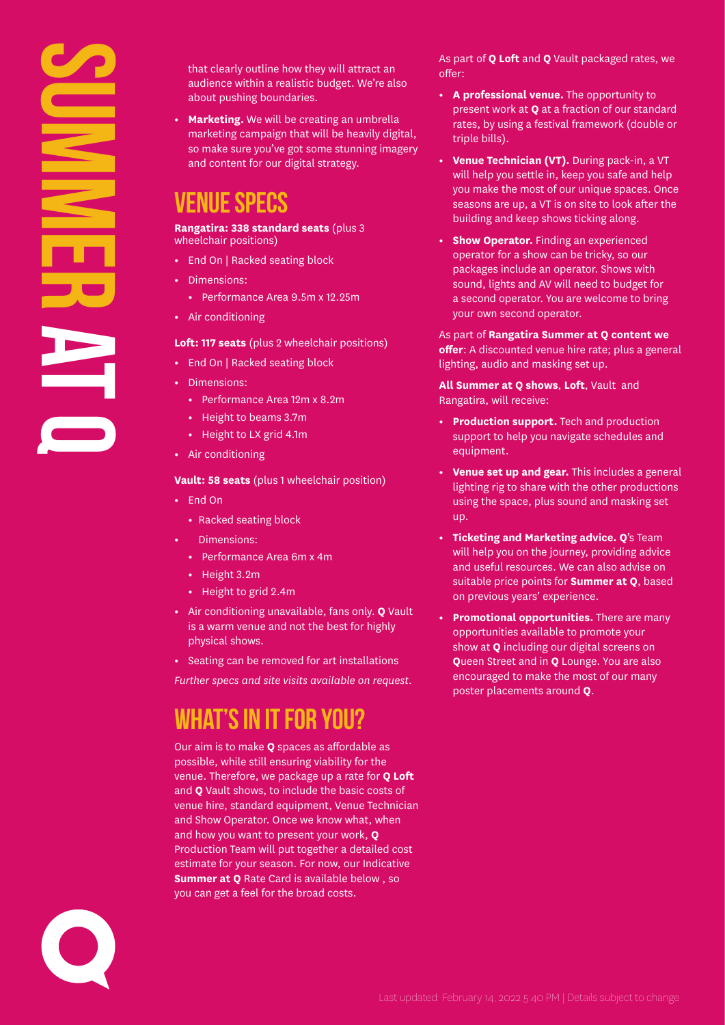

that clearly outline how they will attract an audience within a realistic budget. We're also about pushing boundaries.

**• Marketing.** We will be creating an umbrella marketing campaign that will be heavily digital, so make sure you've got some stunning imagery and content for our digital strategy.

#### **Venue Specs**

**Rangatira: 338 standard seats** (plus 3 wheelchair positions)

- **•** End On | Racked seating block
- **•** Dimensions:
	- **•** Performance Area 9.5m x 12.25m
- **•** Air conditioning

**Loft: 117 seats** (plus 2 wheelchair positions)

- **•** End On | Racked seating block
- **•** Dimensions:
	- **•** Performance Area 12m x 8.2m
	- **•** Height to beams 3.7m
	- **•** Height to LX grid 4.1m
- **•** Air conditioning

**Vault: 58 seats** (plus 1 wheelchair position)

- **•** End On
	- **•** Racked seating block
- **•** Dimensions:
	- **•** Performance Area 6m x 4m
	- **•** Height 3.2m
	- **•** Height to grid 2.4m
- **•** Air conditioning unavailable, fans only. **Q** Vault is a warm venue and not the best for highly physical shows.
- **•** Seating can be removed for art installations

*Further specs and site visits available on request.* 

### **What's in it for you?**

Our aim is to make **Q** spaces as affordable as possible, while still ensuring viability for the venue. Therefore, we package up a rate for **Q Loft** and **Q** Vault shows, to include the basic costs of venue hire, standard equipment, Venue Technician and Show Operator. Once we know what, when and how you want to present your work, **Q** Production Team will put together a detailed cost estimate for your season. For now, our Indicative **Summer at Q** Rate Card is available below , so you can get a feel for the broad costs.

As part of **Q Loft** and **Q** Vault packaged rates, we offer:

- **• A professional venue.** The opportunity to present work at **Q** at a fraction of our standard rates, by using a festival framework (double or triple bills).
- **• Venue Technician (VT).** During pack-in, a VT will help you settle in, keep you safe and help you make the most of our unique spaces. Once seasons are up, a VT is on site to look after the building and keep shows ticking along.
- **• Show Operator.** Finding an experienced operator for a show can be tricky, so our packages include an operator. Shows with sound, lights and AV will need to budget for a second operator. You are welcome to bring your own second operator.

As part of **Rangatira Summer at Q content we offer**: A discounted venue hire rate; plus a general lighting, audio and masking set up.

**All Summer at Q shows**, **Loft**, Vault and Rangatira, will receive:

- **• Production support.** Tech and production support to help you navigate schedules and equipment.
- **• Venue set up and gear.** This includes a general lighting rig to share with the other productions using the space, plus sound and masking set up.
- **• Ticketing and Marketing advice. Q**'s Team will help you on the journey, providing advice and useful resources. We can also advise on suitable price points for **Summer at Q**, based on previous years' experience.
- **• Promotional opportunities.** There are many opportunities available to promote your show at **Q** including our digital screens on **Q**ueen Street and in **Q** Lounge. You are also encouraged to make the most of our many poster placements around **Q**.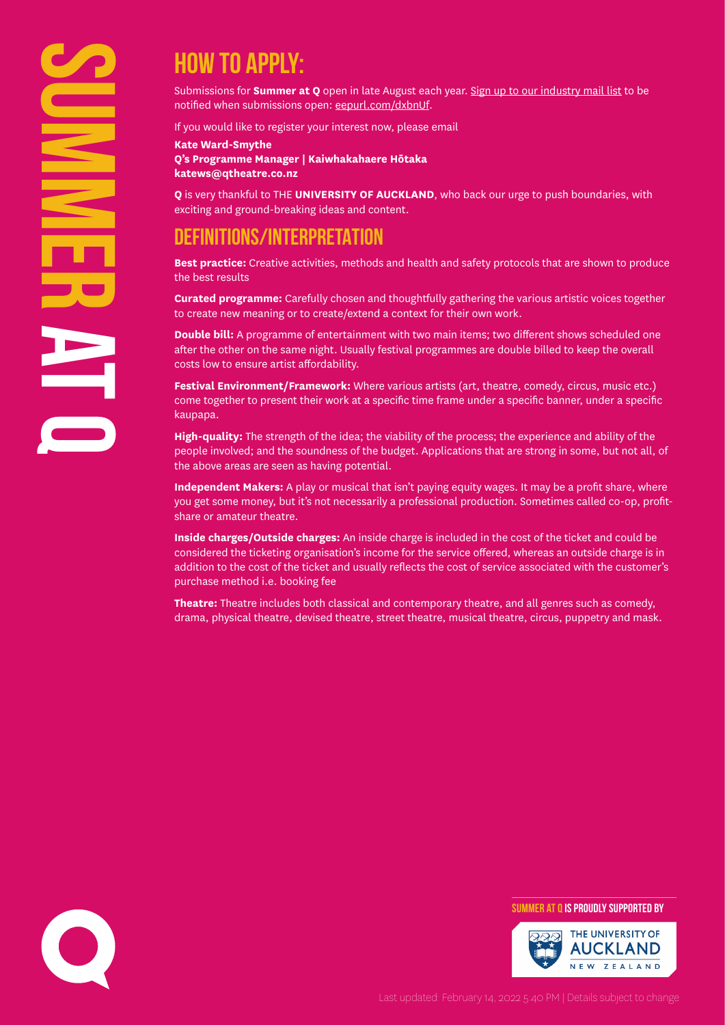## **how to apply:**

Submissions for **Summer at Q** open in late August each year. Sign up to our industry mail list to be notified when submissions open: eepurl.com/dxbnUf.

If you would like to register your interest now, please email

**Kate Ward-Smythe Q's Programme Manager | Kaiwhakahaere Hōtaka katews@qtheatre.co.nz**

**Q** is very thankful to THE **UNIVERSITY OF AUCKLAND**, who back our urge to push boundaries, with exciting and ground-breaking ideas and content.

#### **DEFINITIONS/INTERPRETATION**

**Best practice:** Creative activities, methods and health and safety protocols that are shown to produce the best results

**Curated programme:** Carefully chosen and thoughtfully gathering the various artistic voices together to create new meaning or to create/extend a context for their own work.

**Double bill:** A programme of entertainment with two main items; two different shows scheduled one after the other on the same night. Usually festival programmes are double billed to keep the overall costs low to ensure artist affordability.

**Festival Environment/Framework:** Where various artists (art, theatre, comedy, circus, music etc.) come together to present their work at a specific time frame under a specific banner, under a specific kaupapa.

**High-quality:** The strength of the idea; the viability of the process; the experience and ability of the people involved; and the soundness of the budget. Applications that are strong in some, but not all, of the above areas are seen as having potential.

**Independent Makers:** A play or musical that isn't paying equity wages. It may be a profit share, where you get some money, but it's not necessarily a professional production. Sometimes called co-op, profitshare or amateur theatre.

**Inside charges/Outside charges:** An inside charge is included in the cost of the ticket and could be considered the ticketing organisation's income for the service offered, whereas an outside charge is in addition to the cost of the ticket and usually reflects the cost of service associated with the customer's purchase method i.e. booking fee

**Theatre:** Theatre includes both classical and contemporary theatre, and all genres such as comedy, drama, physical theatre, devised theatre, street theatre, musical theatre, circus, puppetry and mask.



**Summer at Q is proudly supported by**  THE UNIVERSITY OF **AUCKLAND** NEW ZEALAND